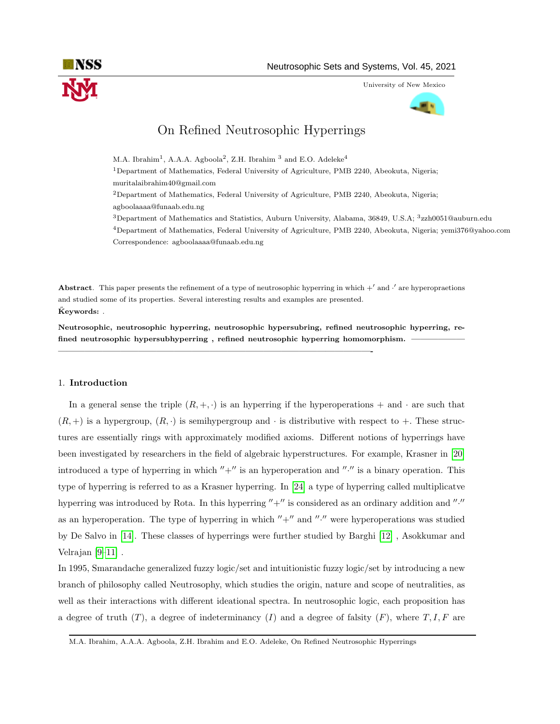

University of New Mexico



# On Refined Neutrosophic Hyperrings

M.A. Ibrahim<sup>1</sup>, A.A.A. Agboola<sup>2</sup>, Z.H. Ibrahim<sup>3</sup> and E.O. Adeleke<sup>4</sup> <sup>1</sup>Department of Mathematics, Federal University of Agriculture, PMB 2240, Abeokuta, Nigeria; muritalaibrahim40@gmail.com <sup>2</sup>Department of Mathematics, Federal University of Agriculture, PMB 2240, Abeokuta, Nigeria; agboolaaaa@funaab.edu.ng <sup>3</sup>Department of Mathematics and Statistics, Auburn University, Alabama, 36849, U.S.A; <sup>3</sup>zzh0051@auburn.edu <sup>4</sup>Department of Mathematics, Federal University of Agriculture, PMB 2240, Abeokuta, Nigeria; yemi376@yahoo.com Correspondence: agboolaaaa@funaab.edu.ng

Abstract. This paper presents the refinement of a type of neutrosophic hyperring in which  $+^{\prime}$  and  $\cdot^{\prime}$  are hyperopraetions and studied some of its properties. Several interesting results and examples are presented.  $K$ eywords:

Neutrosophic, neutrosophic hyperring, neutrosophic hypersubring, refined neutrosophic hyperring, refined neutrosophic hypersubhyperring, refined neutrosophic hyperring homomorphism.

———————————————————————————————————-

# 1. Introduction

In a general sense the triple  $(R, +, \cdot)$  is an hyperring if the hyperoperations  $+$  and  $\cdot$  are such that  $(R, +)$  is a hypergroup,  $(R, \cdot)$  is semihypergroup and  $\cdot$  is distributive with respect to  $+$ . These structures are essentially rings with approximately modified axioms. Different notions of hyperrings have been investigated by researchers in the field of algebraic hyperstructures. For example, Krasner in [\[20\]](#page-15-0) introduced a type of hyperring in which  $'' +''$  is an hyperoperation and "." is a binary operation. This type of hyperring is referred to as a Krasner hyperring. In [\[24\]](#page-16-0) a type of hyperring called multiplicatve hyperring was introduced by Rota. In this hyperring  $"+'"$  is considered as an ordinary addition and "." as an hyperoperation. The type of hyperring in which  $''+''$  and  $''·''$  were hyperoperations was studied by De Salvo in [\[14\]](#page-15-1). These classes of hyperrings were further studied by Barghi [\[12\]](#page-15-2) , Asokkumar and Velrajan [\[9](#page-15-3)[–11\]](#page-15-4) .

In 1995, Smarandache generalized fuzzy logic/set and intuitionistic fuzzy logic/set by introducing a new branch of philosophy called Neutrosophy, which studies the origin, nature and scope of neutralities, as well as their interactions with different ideational spectra. In neutrosophic logic, each proposition has a degree of truth  $(T)$ , a degree of indeterminancy  $(I)$  and a degree of falsity  $(F)$ , where  $T, I, F$  are

M.A. Ibrahim, A.A.A. Agboola, Z.H. Ibrahim and E.O. Adeleke, On Refined Neutrosophic Hyperrings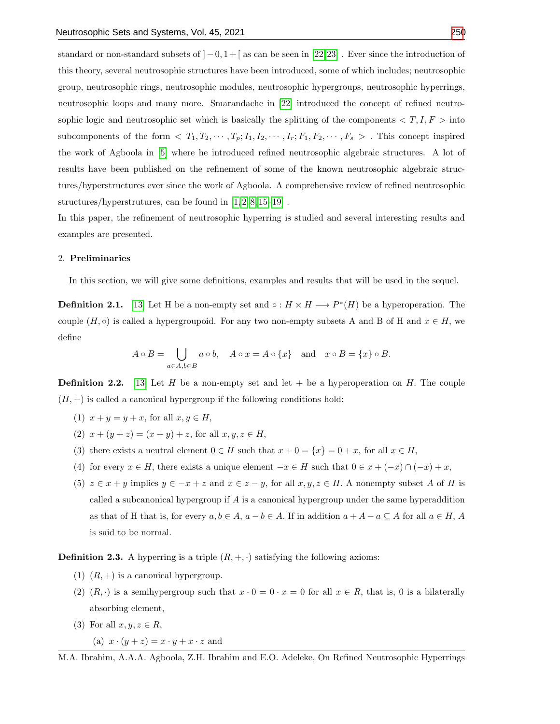standard or non-standard subsets of  $]-0, 1 + [$  as can be seen in [\[22,](#page-16-2)[23\]](#page-16-3). Ever since the introduction of this theory, several neutrosophic structures have been introduced, some of which includes; neutrosophic group, neutrosophic rings, neutrosophic modules, neutrosophic hypergroups, neutrosophic hyperrings, neutrosophic loops and many more. Smarandache in [\[22\]](#page-16-2) introduced the concept of refined neutrosophic logic and neutrosophic set which is basically the splitting of the components  $\langle T, I, F \rangle$  into subcomponents of the form  $\langle T_1, T_2, \cdots, T_p; I_1, I_2, \cdots, I_r; F_1, F_2, \cdots, F_s \rangle$ . This concept inspired the work of Agboola in [\[5\]](#page-15-5) where he introduced refined neutrosophic algebraic structures. A lot of results have been published on the refinement of some of the known neutrosophic algebraic structures/hyperstructures ever since the work of Agboola. A comprehensive review of refined neutrosophic structures/hyperstrutures, can be found in [\[1,](#page-15-6) [2,](#page-15-7) [8,](#page-15-8) [15–](#page-15-9)[19\]](#page-15-10) .

In this paper, the refinement of neutrosophic hyperring is studied and several interesting results and examples are presented.

### 2. Preliminaries

In this section, we will give some definitions, examples and results that will be used in the sequel.

**Definition 2.1.** [\[13\]](#page-15-11) Let H be a non-empty set and  $\circ: H \times H \longrightarrow P^*(H)$  be a hyperoperation. The couple  $(H, \circ)$  is called a hypergroupoid. For any two non-empty subsets A and B of H and  $x \in H$ , we define

$$
A \circ B = \bigcup_{a \in A, b \in B} a \circ b, \quad A \circ x = A \circ \{x\} \quad \text{and} \quad x \circ B = \{x\} \circ B.
$$

**Definition 2.2.** [\[13\]](#page-15-11) Let H be a non-empty set and let  $+$  be a hyperoperation on H. The couple  $(H, +)$  is called a canonical hypergroup if the following conditions hold:

- (1)  $x + y = y + x$ , for all  $x, y \in H$ ,
- (2)  $x + (y + z) = (x + y) + z$ , for all  $x, y, z \in H$ ,
- (3) there exists a neutral element  $0 \in H$  such that  $x + 0 = \{x\} = 0 + x$ , for all  $x \in H$ ,
- (4) for every  $x \in H$ , there exists a unique element  $-x \in H$  such that  $0 \in x + (-x) \cap (-x) + x$ ,
- (5)  $z \in x + y$  implies  $y \in -x + z$  and  $x \in z y$ , for all  $x, y, z \in H$ . A nonempty subset A of H is called a subcanonical hypergroup if A is a canonical hypergroup under the same hyperaddition as that of H that is, for every  $a, b \in A$ ,  $a - b \in A$ . If in addition  $a + A - a \subseteq A$  for all  $a \in H$ , A is said to be normal.

**Definition 2.3.** A hyperring is a triple  $(R, +, \cdot)$  satisfying the following axioms:

- (1)  $(R, +)$  is a canonical hypergroup.
- (2)  $(R, \cdot)$  is a semihypergroup such that  $x \cdot 0 = 0 \cdot x = 0$  for all  $x \in R$ , that is, 0 is a bilaterally absorbing element,
- (3) For all  $x, y, z \in R$ ,

(a) 
$$
x \cdot (y + z) = x \cdot y + x \cdot z
$$
 and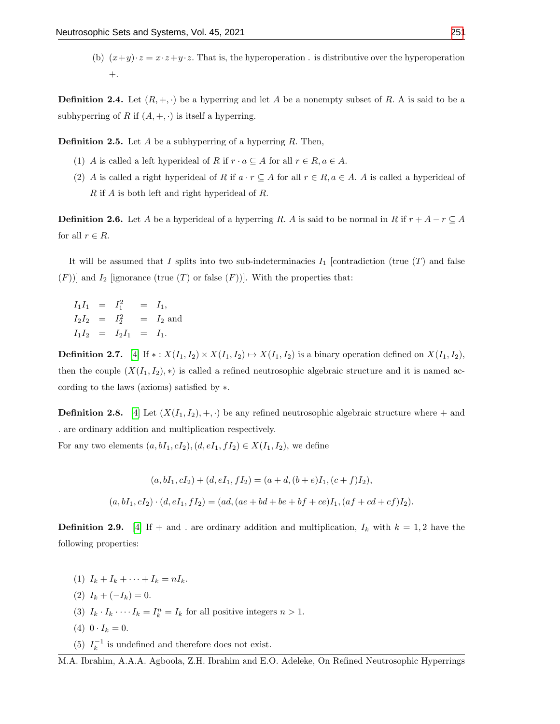(b)  $(x+y)\cdot z = x\cdot z + y\cdot z$ . That is, the hyperoperation . is distributive over the hyperoperation  $+$ .

**Definition 2.4.** Let  $(R, +, \cdot)$  be a hyperring and let A be a nonempty subset of R. A is said to be a subhyperring of R if  $(A, +, \cdot)$  is itself a hyperring.

**Definition 2.5.** Let A be a subhyperring of a hyperring R. Then,

- (1) A is called a left hyperideal of R if  $r \cdot a \subseteq A$  for all  $r \in R$ ,  $a \in A$ .
- (2) A is called a right hyperideal of R if  $a \cdot r \subseteq A$  for all  $r \in R$ ,  $a \in A$ . A is called a hyperideal of R if A is both left and right hyperideal of R.

**Definition 2.6.** Let A be a hyperideal of a hyperring R. A is said to be normal in R if  $r + A - r \subseteq A$ for all  $r \in R$ .

It will be assumed that I splits into two sub-indeterminacies  $I_1$  [contradiction (true  $(T)$  and false  $(F)$ ] and  $I_2$  [ignorance (true  $(T)$  or false  $(F)$ )]. With the properties that:

 $I_1I_1 = I_1^2 = I_1,$  $I_2I_2 = I_2^2 = I_2$  and  $I_1I_2 = I_2I_1 = I_1.$ 

**Definition 2.7.** [\[4\]](#page-15-12) If  $*: X(I_1, I_2) \times X(I_1, I_2) \mapsto X(I_1, I_2)$  is a binary operation defined on  $X(I_1, I_2)$ , then the couple  $(X(I_1, I_2), *)$  is called a refined neutrosophic algebraic structure and it is named according to the laws (axioms) satisfied by ∗.

**Definition 2.8.** [\[4\]](#page-15-12) Let  $(X(I_1, I_2), +, \cdot)$  be any refined neutrosophic algebraic structure where  $+$  and . are ordinary addition and multiplication respectively.

For any two elements  $(a, bI_1, cI_2), (d, eI_1, fI_2) \in X(I_1, I_2)$ , we define

$$
(a, bI_1, cI_2) + (d, eI_1, fI_2) = (a + d, (b + e)I_1, (c + f)I_2),
$$
  

$$
(a, bI_1, cI_2) \cdot (d, eI_1, fI_2) = (ad, (ae + bd + be + bf + ce)I_1, (af + cd + cf)I_2).
$$

**Definition 2.9.** [\[4\]](#page-15-12) If + and . are ordinary addition and multiplication,  $I_k$  with  $k = 1, 2$  have the following properties:

(1)  $I_k + I_k + \cdots + I_k = nI_k$ . (2)  $I_k + (-I_k) = 0.$ (3)  $I_k \tcdot I_k \cdots I_k = I_k^n = I_k$  for all positive integers  $n > 1$ . (4)  $0 \cdot I_k = 0$ . (5)  $I_k^{-1}$  is undefined and therefore does not exist.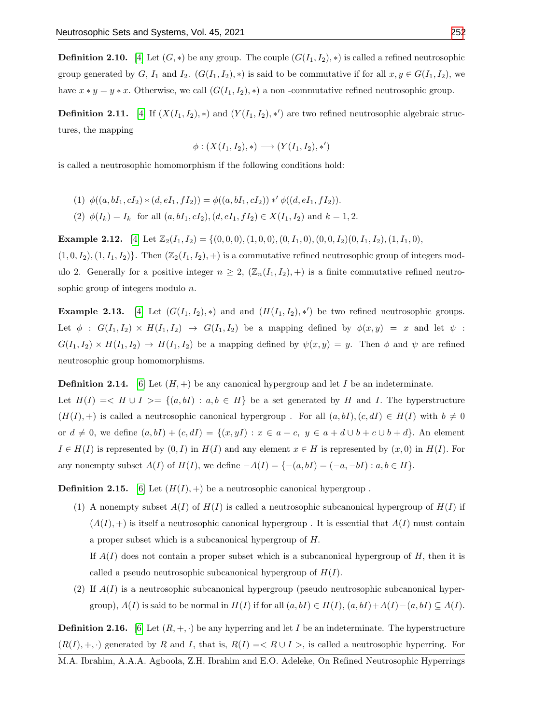**Definition 2.10.** [\[4\]](#page-15-12) Let  $(G, *)$  be any group. The couple  $(G(I_1, I_2), *)$  is called a refined neutrosophic group generated by G,  $I_1$  and  $I_2$ .  $(G(I_1, I_2), *)$  is said to be commutative if for all  $x, y \in G(I_1, I_2)$ , we have  $x * y = y * x$ . Otherwise, we call  $(G(I_1, I_2), *)$  a non-commutative refined neutrosophic group.

**Definition 2.11.** [\[4\]](#page-15-12) If  $(X(I_1, I_2), *)$  and  $(Y(I_1, I_2), *)$  are two refined neutrosophic algebraic structures, the mapping

$$
\phi: (X(I_1, I_2), *) \longrightarrow (Y(I_1, I_2), *)
$$

is called a neutrosophic homomorphism if the following conditions hold:

(1) 
$$
\phi((a, bI_1, cI_2) * (d, eI_1, fI_2)) = \phi((a, bI_1, cI_2)) *' \phi((d, eI_1, fI_2)).
$$
  
(2)  $\phi(I_k) = I_k$  for all  $(a, bI_1, cI_2), (d, eI_1, fI_2) \in X(I_1, I_2)$  and  $k = 1, 2$ .

**Example 2.12.** [\[4\]](#page-15-12) Let  $\mathbb{Z}_2(I_1, I_2) = \{(0, 0, 0), (1, 0, 0), (0, I_1, 0), (0, 0, I_2)(0, I_1, I_2), (1, I_1, 0),\}$  $(1, 0, I_2), (1, I_1, I_2)$ . Then  $(\mathbb{Z}_2(I_1, I_2), +)$  is a commutative refined neutrosophic group of integers mod-

ulo 2. Generally for a positive integer  $n \geq 2$ ,  $(\mathbb{Z}_n(I_1,I_2),+)$  is a finite commutative refined neutrosophic group of integers modulo *n*.

**Example 2.13.** [\[4\]](#page-15-12) Let  $(G(I_1, I_2), *)$  and and  $(H(I_1, I_2), *)$  be two refined neutrosophic groups. Let  $\phi : G(I_1, I_2) \times H(I_1, I_2) \rightarrow G(I_1, I_2)$  be a mapping defined by  $\phi(x, y) = x$  and let  $\psi$ :  $G(I_1, I_2) \times H(I_1, I_2) \to H(I_1, I_2)$  be a mapping defined by  $\psi(x, y) = y$ . Then  $\phi$  and  $\psi$  are refined neutrosophic group homomorphisms.

**Definition 2.14.** [\[6\]](#page-15-13) Let  $(H, +)$  be any canonical hypergroup and let I be an indeterminate. Let  $H(I) = \langle H \cup I \rangle = \{ (a, bI) : a, b \in H \}$  be a set generated by H and I. The hyperstructure  $(H(I), +)$  is called a neutrosophic canonical hypergroup. For all  $(a, bI), (c, dI) \in H(I)$  with  $b \neq 0$ or  $d \neq 0$ , we define  $(a, bI) + (c, dI) = \{(x, yI) : x \in a + c, y \in a + d \cup b + c \cup b + d\}$ . An element  $I \in H(I)$  is represented by  $(0, I)$  in  $H(I)$  and any element  $x \in H$  is represented by  $(x, 0)$  in  $H(I)$ . For any nonempty subset  $A(I)$  of  $H(I)$ , we define  $-A(I) = \{-(a, bI) = (-a, -bI) : a, b \in H\}.$ 

**Definition 2.15.** [\[6\]](#page-15-13) Let  $(H(I), +)$  be a neutrosophic canonical hypergroup.

(1) A nonempty subset  $A(I)$  of  $H(I)$  is called a neutrosophic subcanonical hypergroup of  $H(I)$  if  $(A(I), +)$  is itself a neutrosophic canonical hypergroup. It is essential that  $A(I)$  must contain a proper subset which is a subcanonical hypergroup of H.

If  $A(I)$  does not contain a proper subset which is a subcanonical hypergroup of H, then it is called a pseudo neutrosophic subcanonical hypergroup of  $H(I)$ .

(2) If  $A(I)$  is a neutrosophic subcanonical hypergroup (pseudo neutrosophic subcanonical hypergroup),  $A(I)$  is said to be normal in  $H(I)$  if for all  $(a, bI) \in H(I)$ ,  $(a, bI) + A(I) - (a, bI) \subseteq A(I)$ .

**Definition 2.16.** [\[6\]](#page-15-13) Let  $(R, +, \cdot)$  be any hyperring and let I be an indeterminate. The hyperstructure  $(R(I), +, \cdot)$  generated by R and I, that is,  $R(I) = \langle R \cup I \rangle$ , is called a neutrosophic hyperring. For M.A. Ibrahim, A.A.A. Agboola, Z.H. Ibrahim and E.O. Adeleke, On Refined Neutrosophic Hyperrings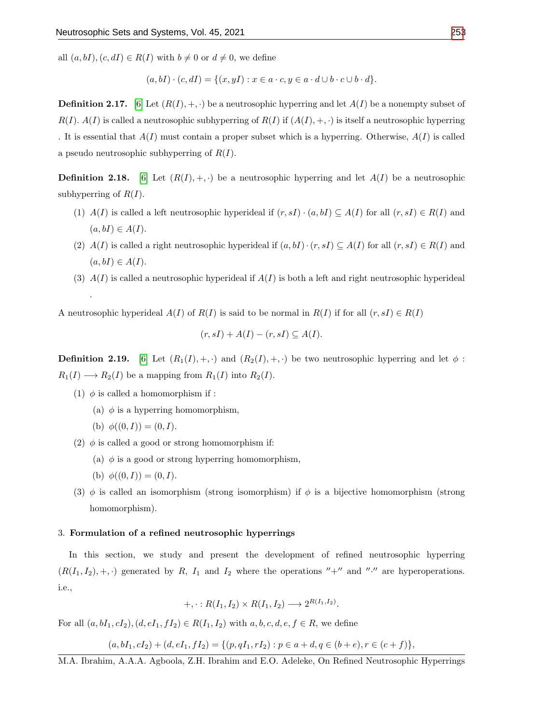all  $(a, bI), (c, dI) \in R(I)$  with  $b \neq 0$  or  $d \neq 0$ , we define

$$
(a,bI)\cdot (c,dI) = \{(x,yI) : x \in a \cdot c, y \in a \cdot d \cup b \cdot c \cup b \cdot d\}.
$$

**Definition 2.17.** [\[6\]](#page-15-13) Let  $(R(I), +, \cdot)$  be a neutrosophic hyperring and let  $A(I)$  be a nonempty subset of  $R(I)$ .  $A(I)$  is called a neutrosophic subhyperring of  $R(I)$  if  $(A(I), +, \cdot)$  is itself a neutrosophic hyperring . It is essential that  $A(I)$  must contain a proper subset which is a hyperring. Otherwise,  $A(I)$  is called a pseudo neutrosophic subhyperring of  $R(I)$ .

**Definition 2.18.** [\[6\]](#page-15-13) Let  $(R(I), +, \cdot)$  be a neutrosophic hyperring and let  $A(I)$  be a neutrosophic subhyperring of  $R(I)$ .

- (1)  $A(I)$  is called a left neutrosophic hyperideal if  $(r, sI) \cdot (a, bI) \subseteq A(I)$  for all  $(r, sI) \in R(I)$  and  $(a, bI) \in A(I).$
- (2)  $A(I)$  is called a right neutrosophic hyperideal if  $(a, bI) \cdot (r, sI) \subseteq A(I)$  for all  $(r, sI) \in R(I)$  and  $(a, bI) \in A(I).$
- (3)  $A(I)$  is called a neutrosophic hyperideal if  $A(I)$  is both a left and right neutrosophic hyperideal

A neutrosophic hyperideal  $A(I)$  of  $R(I)$  is said to be normal in  $R(I)$  if for all  $(r, sI) \in R(I)$ 

$$
(r, sI) + A(I) - (r, sI) \subseteq A(I).
$$

**Definition 2.19.** [\[6\]](#page-15-13) Let  $(R_1(I), +, \cdot)$  and  $(R_2(I), +, \cdot)$  be two neutrosophic hyperring and let  $\phi$ :  $R_1(I) \longrightarrow R_2(I)$  be a mapping from  $R_1(I)$  into  $R_2(I)$ .

- (1)  $\phi$  is called a homomorphism if :
	- (a)  $\phi$  is a hyperring homomorphism,
	- (b)  $\phi((0, I)) = (0, I).$

.

- (2)  $\phi$  is called a good or strong homomorphism if:
	- (a)  $\phi$  is a good or strong hyperring homomorphism,
	- (b)  $\phi((0,I)) = (0,I).$
- (3)  $\phi$  is called an isomorphism (strong isomorphism) if  $\phi$  is a bijective homomorphism (strong homomorphism).

# 3. Formulation of a refined neutrosophic hyperrings

In this section, we study and present the development of refined neutrosophic hyperring  $(R(I_1, I_2), +, \cdot)$  generated by R,  $I_1$  and  $I_2$  where the operations "+" and "." are hyperoperations. i.e.,

$$
+,\cdot:R(I_1,I_2)\times R(I_1,I_2)\longrightarrow 2^{R(I_1,I_2)}.
$$

For all  $(a, bI_1, cI_2), (d, eI_1, fI_2) \in R(I_1, I_2)$  with  $a, b, c, d, e, f \in R$ , we define

$$
(a, bI_1, cI_2) + (d, eI_1, fI_2) = \{(p, qI_1, rI_2) : p \in a + d, q \in (b + e), r \in (c + f)\},\
$$

M.A. Ibrahim, A.A.A. Agboola, Z.H. Ibrahim and E.O. Adeleke, On Refined Neutrosophic Hyperrings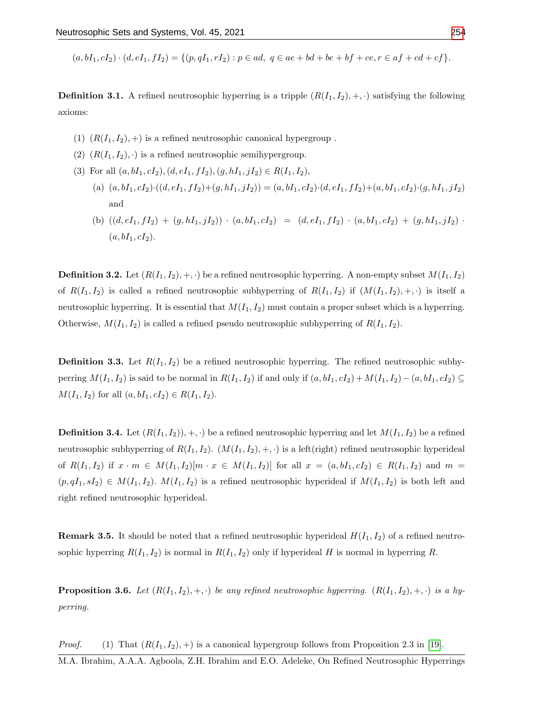$(a, bI_1, cI_2) \cdot (d, eI_1, fI_2) = \{(p, qI_1, rI_2) : p \in ad, q \in ae + bd + be + bf + ce, r \in af + cd + cf\}.$ 

**Definition 3.1.** A refined neutrosophic hyperring is a tripple  $(R(I_1, I_2), +, \cdot)$  satisfying the following axioms:

- (1)  $(R(I_1, I_2), +)$  is a refined neutrosophic canonical hypergroup.
- (2)  $(R(I_1, I_2), \cdot)$  is a refined neutrosophic semihypergroup.
- (3) For all  $(a, bI_1, cI_2), (d, eI_1, fI_2), (g, hI_1, jI_2) \in R(I_1, I_2),$ 
	- (a)  $(a, bI_1, cI_2) \cdot ((d, eI_1, fI_2) + (g, hI_1, jI_2)) = (a, bI_1, cI_2) \cdot (d, eI_1, fI_2) + (a, bI_1, cI_2) \cdot (g, hI_1, jI_2)$ and
	- (b)  $((d, eI_1, fI_2) + (g, hI_1, jI_2)) \cdot (a, bI_1, cI_2) = (d, eI_1, fI_2) \cdot (a, bI_1, cI_2) + (g, hI_1, jI_2) \cdot (a, bI_1, cI_2)$  $(a, bI_1, cI_2).$

**Definition 3.2.** Let  $(R(I_1, I_2), +, \cdot)$  be a refined neutrosophic hyperring. A non-empty subset  $M(I_1, I_2)$ of  $R(I_1, I_2)$  is called a refined neutrosophic subhyperring of  $R(I_1, I_2)$  if  $(M(I_1, I_2), +, \cdot)$  is itself a neutrosophic hyperring. It is essential that  $M(I_1, I_2)$  must contain a proper subset which is a hyperring. Otherwise,  $M(I_1, I_2)$  is called a refined pseudo neutrosophic subhyperring of  $R(I_1, I_2)$ .

**Definition 3.3.** Let  $R(I_1, I_2)$  be a refined neutrosophic hyperring. The refined neutrosophic subhyperring  $M(I_1, I_2)$  is said to be normal in  $R(I_1, I_2)$  if and only if  $(a, bI_1, cI_2) + M(I_1, I_2) - (a, bI_1, cI_2) \subseteq$  $M(I_1, I_2)$  for all  $(a, bI_1, cI_2) \in R(I_1, I_2)$ .

**Definition 3.4.** Let  $(R(I_1, I_2))$ , +,  $\cdot$ ) be a refined neutrosophic hyperring and let  $M(I_1, I_2)$  be a refined neutrosophic subhyperring of  $R(I_1, I_2)$ .  $(M(I_1, I_2), +, \cdot)$  is a left(right) refined neutrosophic hyperideal of  $R(I_1, I_2)$  if  $x \cdot m \in M(I_1, I_2)[m \cdot x \in M(I_1, I_2)]$  for all  $x = (a, bI_1, cI_2) \in R(I_1, I_2)$  and  $m =$  $(p, qI_1, sI_2) \in M(I_1, I_2)$ .  $M(I_1, I_2)$  is a refined neutrosophic hyperideal if  $M(I_1, I_2)$  is both left and right refined neutrosophic hyperideal.

**Remark 3.5.** It should be noted that a refined neutrosophic hyperideal  $H(I_1, I_2)$  of a refined neutrosophic hyperring  $R(I_1, I_2)$  is normal in  $R(I_1, I_2)$  only if hyperideal H is normal in hyperring R.

**Proposition 3.6.** Let  $(R(I_1, I_2), +, \cdot)$  be any refined neutrosophic hyperring.  $(R(I_1, I_2), +, \cdot)$  is a hyperring.

*Proof.* (1) That  $(R(I_1, I_2), +)$  is a canonical hypergroup follows from Proposition 2.3 in [\[19\]](#page-15-10).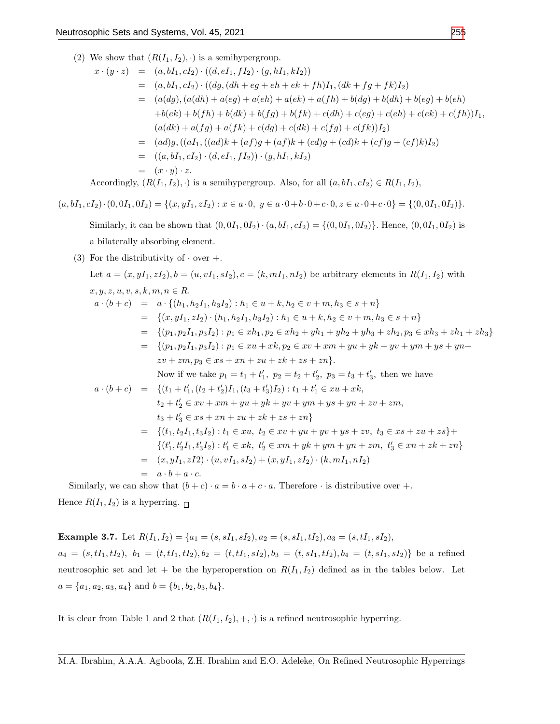(2) We show that  $(R(I_1, I_2), \cdot)$  is a semihypergroup.

$$
x \cdot (y \cdot z) = (a, bI_1, cI_2) \cdot ((d, eI_1, fI_2) \cdot (g, hI_1, kI_2))
$$
  
\n
$$
= (a, bI_1, cI_2) \cdot ((dg, (dh + eg + eh + ek + fh)I_1, (dk + fg + fk)I_2)
$$
  
\n
$$
= (a(dg), (a(dh) + a(eg) + a(eh) + a(ek) + a(fh) + b(dg) + b(dh) + b(eg) + b(eh)
$$
  
\n
$$
+b(ek) + b(fh) + b(dk) + b(fg) + b(fk) + c(dh) + c(eg) + c(eh) + c(ek) + c(fh))I_1,
$$
  
\n
$$
(a(dk) + a(fg) + a(fk) + c(dg) + c(dk) + c(fg) + c(fk))I_2)
$$
  
\n
$$
= (ad)g, ((aI_1, ((ad)k + (af)g + (af)k + (cd)g + (cd)k + (cf)g + (cf)k)I_2))
$$
  
\n
$$
= ((a, bI_1, cI_2) \cdot (d, eI_1, fI_2)) \cdot (g, hI_1, kI_2)
$$
  
\n
$$
= (x \cdot y) \cdot z.
$$

Accordingly,  $(R(I_1, I_2), \cdot)$  is a semihypergroup. Also, for all  $(a, bI_1, cI_2) \in R(I_1, I_2)$ ,

 $(a, bI_1, cI_2) \cdot (0, 0I_1, 0I_2) = \{(x, yI_1, zI_2) : x \in a \cdot 0, y \in a \cdot 0 + b \cdot 0 + c \cdot 0, z \in a \cdot 0 + c \cdot 0\} = \{(0, 0I_1, 0I_2)\}.$ 

Similarly, it can be shown that  $(0, 0I_1, 0I_2) \cdot (a, bI_1, cI_2) = \{(0, 0I_1, 0I_2)\}\.$  Hence,  $(0, 0I_1, 0I_2)$  is a bilaterally absorbing element.

(3) For the distributivity of  $\cdot$  over  $+$ .

Let 
$$
a = (x, yI_1, zI_2), b = (u, vI_1, sI_2), c = (k, mI_1, nI_2)
$$
 be arbitrary elements in  $R(I_1, I_2)$  with  
\n $x, y, z, u, v, s, k, m, n \in R$ .  
\n $a \cdot (b + c) = a \cdot \{(h_1, h_2I_1, h_3I_2) : h_1 \in u + k, h_2 \in v + m, h_3 \in s + n\}$   
\n $= \{(x, yI_1, zI_2) \cdot (h_1, h_2I_1, h_3I_2) : h_1 \in u + k, h_2 \in v + m, h_3 \in s + n\}$   
\n $= \{(p_1, p_2I_1, p_3I_2) : p_1 \in xh_1, p_2 \in xh_2 + yh_1 + yh_2 + yh_3 + zh_2, p_3 \in xh_3 + zh_1 + zh_3\}$   
\n $= \{(p_1, p_2I_1, p_3I_2) : p_1 \in xu + xk, p_2 \in xv + xm + yu + yk + yv + ym + ys + yn +$   
\n $zv + zm, p_3 \in xs + xn + zu + zk + zs + zn\}$ .  
\nNow if we take  $p_1 = t_1 + t'_1$ ,  $p_2 = t_2 + t'_2$ ,  $p_3 = t_3 + t'_3$ , then we have  
\n $a \cdot (b + c) = \{(t_1 + t'_1, (t_2 + t'_2)I_1, (t_3 + t'_3)I_2) : t_1 + t'_1 \in xu + xk,$   
\n $t_2 + t'_2 \in xv + xm + yu + yk + yv + ym + ys + ym + zv + zm,$   
\n $t_3 + t'_3 \in xs + xn + zu + zk + zs + zn\}$   
\n $= \{(t_1, t_2I_1, t_3I_2) : t_1 \in xu, t_2 \in xv + yu + yv + ys + zv, t_3 \in xs + zu + zs\} +$   
\n $\{(t'_1, t'_2I_1, t'_3I_2) : t'_1 \in xk, t'_2 \in xm + yk + ym + ym + zm, t'_3 \in xn + zk + zn\}$   
\n $= (x, yI_1$ 

Hence  $R(I_1, I_2)$  is a hyperring.  $\Box$ 

**Example 3.7.** Let  $R(I_1, I_2) = \{a_1 = (s, sI_1, sI_2), a_2 = (s, sI_1, tI_2), a_3 = (s, tI_1, sI_2),$  $a_4 = (s, tI_1, tI_2), b_1 = (t, tI_1, tI_2), b_2 = (t, tI_1, sI_2), b_3 = (t, sI_1, tI_2), b_4 = (t, sI_1, sI_2)$  be a refined neutrosophic set and let + be the hyperoperation on  $R(I_1, I_2)$  defined as in the tables below. Let  $a = \{a_1, a_2, a_3, a_4\}$  and  $b = \{b_1, b_2, b_3, b_4\}.$ 

It is clear from Table 1 and 2 that  $(R(I_1, I_2), +, \cdot)$  is a refined neutrosophic hyperring.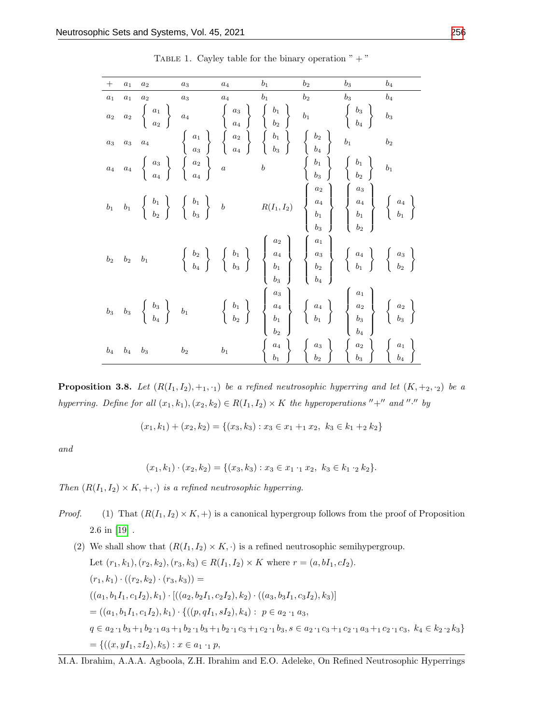| $^+$             | $a_1$          | $a_2$          | $a_3$          | $a_4$            | b <sub>1</sub> | $b_2$          | $b_3$                                                                                                                                                                                                                                                                                                                                                                                                                                                                  | $b_4$ |
|------------------|----------------|----------------|----------------|------------------|----------------|----------------|------------------------------------------------------------------------------------------------------------------------------------------------------------------------------------------------------------------------------------------------------------------------------------------------------------------------------------------------------------------------------------------------------------------------------------------------------------------------|-------|
| $a_1$            | a <sub>1</sub> | a <sub>2</sub> | $a_3$          | a <sub>4</sub>   | b <sub>1</sub> | b <sub>2</sub> | $b_3$                                                                                                                                                                                                                                                                                                                                                                                                                                                                  | $b_4$ |
|                  |                |                |                |                  |                |                | $\begin{array}{ccccccccc} a_2 & a_2 & \left\{ \begin{array}{c} a_1 \\ a_2 \end{array} \right\} & a_4 & \left\{ \begin{array}{c} a_3 \\ a_4 \end{array} \right\} & \left\{ \begin{array}{c} b_1 \\ b_2 \end{array} \right\} & b_1 & \left\{ \begin{array}{c} b_3 \\ b_4 \end{array} \right\} & b_3 \\ a_3 & a_3 & a_4 & \left\{ \begin{array}{c} a_1 \\ a_3 \end{array} \right\} & \left\{ \begin{array}{c} a_2 \\ a_4 \end{array} \right\} & \left\{ \begin{array}{c}$ |       |
|                  |                |                |                |                  |                |                |                                                                                                                                                                                                                                                                                                                                                                                                                                                                        |       |
|                  |                |                |                |                  |                |                |                                                                                                                                                                                                                                                                                                                                                                                                                                                                        |       |
|                  |                |                |                |                  |                |                | $b_1 \quad b_1 \quad \left\{ \begin{array}{c} b_1 \\ b_2 \end{array} \right\} \quad \left\{ \begin{array}{c} b_1 \\ b_3 \end{array} \right\} \quad b \qquad \qquad R(I_1,I_2) \quad \left\{ \begin{array}{c} a_2 \\ a_4 \\ b_1 \end{array} \right\} \quad \left\{ \begin{array}{c} a_3 \\ a_4 \\ b_1 \end{array} \right\} \quad \left\{ \begin{array}{c} a_4 \\ a_4 \\ b_1 \end{array} \right\}$                                                                       |       |
| $\mathfrak{b}_2$ |                | $b_2$ $b_1$    |                |                  |                |                | $\left\{ \begin{array}{c} b_2 \ b_4 \end{array} \right\} \quad \left\{ \begin{array}{c} b_1 \ b_3 \end{array} \right\} \quad \left\{ \begin{array}{c} a_2 \ a_4 \ b_1 \end{array} \right\} \quad \left\{ \begin{array}{c} a_1 \ a_3 \ b_2 \end{array} \right\} \quad \left\{ \begin{array}{c} a_4 \ a_4 \ b_1 \end{array} \right\} \quad \left\{ \begin{array}{c} a_3 \ b_2 \end{array} \right\}$                                                                      |       |
|                  |                |                |                |                  |                |                | $\begin{array}{ccccccccc} b_3 & b_3 & \left\{ \begin{array}{c} b_3 \\ b_4 \end{array} \right\} & b_1 & \left\{ \begin{array}{c} b_1 \\ b_2 \end{array} \right\} & \left\{ \begin{array}{c} a_3 \\ a_4 \\ b_1 \\ b_2 \end{array} \right\} & \left\{ \begin{array}{c} a_3 \\ a_4 \\ b_1 \\ b_2 \end{array} \right\} & \left\{ \begin{array}{c} a_1 \\ a_2 \\ b_3 \\ b_4 \end{array} \right\} & \left\{ \begin{array}{c} a_2 \\ a_2 \\ b_3 \\ b_4 \end{array} \right\}$   |       |
| $b_4$            | $b_4$          | $b_3$          | b <sub>2</sub> | $\mathfrak{b}_1$ |                |                | $\begin{array}{c} a_4 \\ b_1 \end{array} \begin{array}{c} \left\{ \begin{array}{c} a_3 \\ b_2 \end{array} \right\} \begin{array}{c} \left\{ \begin{array}{c} a_2 \\ b_3 \end{array} \right\} \begin{array}{c} \left\{ \begin{array}{c} a_1 \\ b_4 \end{array} \right\} \end{array}$                                                                                                                                                                                    |       |

TABLE 1. Cayley table for the binary operation  $" + "$ 

<span id="page-7-0"></span>**Proposition 3.8.** Let  $(R(I_1, I_2), +_1, \cdot_1)$  be a refined neutrosophic hyperring and let  $(K, +_2, \cdot_2)$  be a hyperring. Define for all  $(x_1, k_1), (x_2, k_2) \in R(I_1, I_2) \times K$  the hyperoperations "+" and "." by

$$
(x_1, k_1) + (x_2, k_2) = \{(x_3, k_3) : x_3 \in x_1 + x_2, k_3 \in k_1 + k_2 \}
$$

and

$$
(x_1,k_1)\cdot(x_2,k_2)=\{(x_3,k_3):x_3\in x_1\cdot_1 x_2,\ k_3\in k_1\cdot_2 k_2\}.
$$

Then  $(R(I_1, I_2) \times K, +, \cdot)$  is a refined neutrosophic hyperring.

- *Proof.* (1) That  $(R(I_1, I_2) \times K, +)$  is a canonical hypergroup follows from the proof of Proposition 2.6 in [\[19\]](#page-15-10) .
	- (2) We shall show that  $(R(I_1, I_2) \times K, \cdot)$  is a refined neutrosophic semihypergroup. Let  $(r_1, k_1), (r_2, k_2), (r_3, k_3) \in R(I_1, I_2) \times K$  where  $r = (a, bI_1, cI_2)$ .  $(r_1, k_1) \cdot ((r_2, k_2) \cdot (r_3, k_3)) =$  $((a_1, b_1I_1, c_1I_2), k_1) \cdot [((a_2, b_2I_1, c_2I_2), k_2) \cdot ((a_3, b_3I_1, c_3I_2), k_3)]$  $= ((a_1, b_1I_1, c_1I_2), k_1) \cdot \{((p, qI_1, sI_2), k_4) : p \in a_2 \cdot_1 a_3,$  $q \in a_2 \cdot_1 b_3 +_1 b_2 \cdot_1 a_3 +_1 b_2 \cdot_1 b_3 +_1 b_2 \cdot_1 c_3 +_1 c_2 \cdot_1 b_3, s \in a_2 \cdot_1 c_3 +_1 c_2 \cdot_1 a_3 +_1 c_2 \cdot_1 c_3, k_4 \in k_2 \cdot_2 k_3 \}$  $=\{((x, yI_1, zI_2), k_5) : x \in a_1 \cdot_1 p,$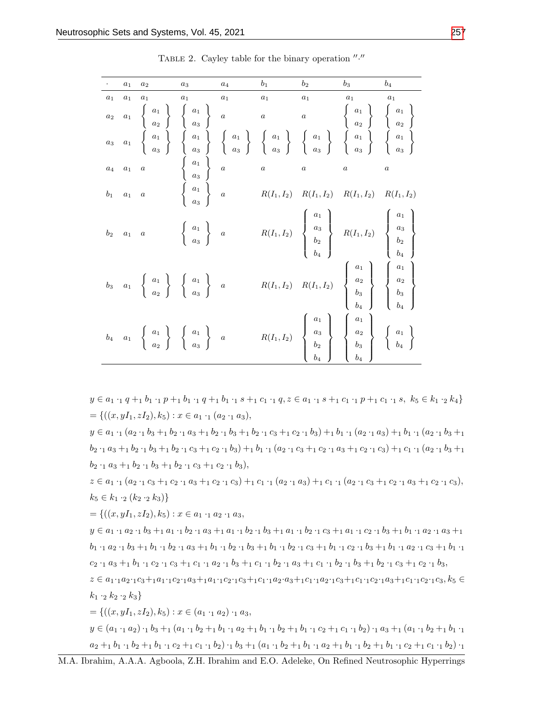|                | $a_1$          | $a_2$                                                                                                                                                 | $a_3$                                                                             | $a_4$ | $b_1$                                                                                          | $b_2$                                                                                                                                                                                                                                                                                                                                                                                                                                                                       | $b_3$          | $b_4$            |
|----------------|----------------|-------------------------------------------------------------------------------------------------------------------------------------------------------|-----------------------------------------------------------------------------------|-------|------------------------------------------------------------------------------------------------|-----------------------------------------------------------------------------------------------------------------------------------------------------------------------------------------------------------------------------------------------------------------------------------------------------------------------------------------------------------------------------------------------------------------------------------------------------------------------------|----------------|------------------|
| a <sub>1</sub> | a <sub>1</sub> | $a_1$                                                                                                                                                 | $a_1$                                                                             | $a_1$ | $\boldsymbol{a}_1$                                                                             | $a_1$                                                                                                                                                                                                                                                                                                                                                                                                                                                                       | $a_1$          | $a_1$            |
|                |                |                                                                                                                                                       |                                                                                   |       |                                                                                                |                                                                                                                                                                                                                                                                                                                                                                                                                                                                             |                |                  |
|                |                |                                                                                                                                                       |                                                                                   |       |                                                                                                | $\begin{array}{ccccccccc} a_2 & a_1 & \left\{ \begin{array}{c} a_1 \\ a_2 \end{array} \right\} & \left\{ \begin{array}{c} a_1 \\ a_3 \end{array} \right\} & a & a & a & \left\{ \begin{array}{c} a_1 \\ a_2 \end{array} \right\} & \left\{ \begin{array}{c} a_1 \\ a_2 \end{array} \right\} \\ a_3 & a_1 & \left\{ \begin{array}{c} a_1 \\ a_1 \\ a_3 \end{array} \right\} & \left\{ \begin{array}{c} a_1 \\ a_1 \\ a_3 \end{array} \right\} & \left\{ \begin{array}{c} a_$ |                |                  |
|                |                | $a_4$ $a_1$ a                                                                                                                                         | $\left\{\begin{array}{c} a_1 \\ a_3 \\ \vdots \\ a_n \end{array}\right\} \quad a$ |       | $\begin{array}{ccccc}\n & & & \nearrow & & \backslash & \backslash \\ a & & & a & \end{array}$ |                                                                                                                                                                                                                                                                                                                                                                                                                                                                             | $\overline{a}$ | $\boldsymbol{a}$ |
|                |                | $b_1 \quad a_1 \quad a$                                                                                                                               |                                                                                   |       |                                                                                                | $R(I_1, I_2)$ $R(I_1, I_2)$ $R(I_1, I_2)$ $R(I_1, I_2)$<br>$\left\{ \begin{array}{c} R(I_1, I_2) \end{array} \right\}$                                                                                                                                                                                                                                                                                                                                                      |                |                  |
|                |                | $b_2 \quad a_1 \quad a \qquad \begin{array}{c} a_1 \\ a_3 \end{array}$ a                                                                              |                                                                                   |       |                                                                                                | $R(I_1, I_2)$ $\begin{Bmatrix} a_1 \\ a_3 \\ b_2 \\ b_3 \end{Bmatrix}$ $R(I_1, I_2)$ $\begin{Bmatrix} a_1 \\ a_3 \\ b_2 \\ b_4 \end{Bmatrix}$                                                                                                                                                                                                                                                                                                                               |                |                  |
|                |                | $b_3 \quad a_1 \quad \left\{ \begin{array}{c} a_1 \\ a_2 \end{array} \right\} \quad \left\{ \begin{array}{c} a_1 \\ a_3 \end{array} \right\} \quad a$ |                                                                                   |       |                                                                                                | $R(I_1, I_2)$ $R(I_1, I_2)$ $\begin{Bmatrix} a_1 \\ a_2 \\ b_3 \\ b_4 \end{Bmatrix}$ $\begin{Bmatrix} a_1 \\ a_2 \\ b_3 \\ b_4 \end{Bmatrix}$                                                                                                                                                                                                                                                                                                                               |                |                  |
|                |                | $b_4 \quad a_1 \quad \left\{ \begin{array}{c} a_1 \\ a_2 \end{array} \right\} \quad \left\{ \begin{array}{c} a_1 \\ a_3 \end{array} \right\} \quad a$ |                                                                                   |       |                                                                                                | $R(I_1,I_2) = \left\{ \begin{array}{c} a_1 \\ a_3 \\ b_2 \\ b_4 \end{array} \right\} = \left\{ \begin{array}{c} a_1 \\ a_2 \\ b_3 \\ b_4 \end{array} \right\} = \left\{ \begin{array}{c} a_1 \\ a_2 \\ b_4 \end{array} \right\}$                                                                                                                                                                                                                                            |                |                  |

TABLE 2. Cayley table for the binary operation  $\frac{n}{\cdot}$ 

 $y \in a_1 \cdot_1 q +_1 b_1 \cdot_1 p +_1 b_1 \cdot_1 q +_1 b_1 \cdot_1 s +_1 c_1 \cdot_1 q, z \in a_1 \cdot_1 s +_1 c_1 \cdot_1 p +_1 c_1 \cdot_1 s, k_5 \in k_1 \cdot_2 k_4$  $=\{((x, yI_1, zI_2), k_5) : x \in a_1 \cdot_1 (a_2 \cdot_1 a_3),\}$ 

 $y \in a_1 \cdot_1 (a_2 \cdot_1 b_3 +_1 b_2 \cdot_1 a_3 +_1 b_2 \cdot_1 b_3 +_1 b_2 \cdot_1 c_3 +_1 c_2 \cdot_1 b_3) +_1 b_1 \cdot_1 (a_2 \cdot_1 a_3) +_1 b_1 \cdot_1 (a_2 \cdot_1 b_3 +_1 b_2 \cdot_1 a_3)$  $b_2 \cdot_1 a_3 +_1 b_2 \cdot_1 b_3 +_1 b_2 \cdot_1 c_3 +_1 c_2 \cdot_1 b_3 +_1 b_1 \cdot_1 (a_2 \cdot_1 c_3 +_1 c_2 \cdot_1 a_3 +_1 c_2 \cdot_1 c_3) +_1 c_1 \cdot_1 (a_2 \cdot_1 b_3 +_1 b_2 \cdot_1 c_3 +_1 c_2 \cdot_1 b_3 +_1 b_2 \cdot_1 c_3 +_1 c_2 \cdot_1 c_3)$  $b_2 \cdot_1 a_3 +_1 b_2 \cdot_1 b_3 +_1 b_2 \cdot_1 c_3 +_1 c_2 \cdot_1 b_3$ 

 $z \in a_1 \cdot_1 (a_2 \cdot_1 c_3 +_1 c_2 \cdot_1 a_3 +_1 c_2 \cdot_1 c_3) +_1 c_1 \cdot_1 (a_2 \cdot_1 a_3) +_1 c_1 \cdot_1 (a_2 \cdot_1 c_3 +_1 c_2 \cdot_1 a_3 +_1 c_2 \cdot_1 c_3),$  $k_5 \in k_1 \cdot_2 (k_2 \cdot_2 k_3)$ 

 $=\{((x, yI_1, zI_2), k_5) : x \in a_1 \cdot_1 a_2 \cdot_1 a_3,$ 

 $y \in a_1 \cdot_1 a_2 \cdot_1 b_3 +_1 a_1 \cdot_1 b_2 \cdot_1 a_3 +_1 a_1 \cdot_1 b_2 \cdot_1 b_3 +_1 a_1 \cdot_1 b_2 \cdot_1 c_3 +_1 a_1 \cdot_1 c_2 \cdot_1 b_3 +_1 b_1 \cdot_1 a_2 \cdot_1 a_3 +_1$  $b_1 \cdot_1 a_2 \cdot_1 b_3 +_1 b_1 \cdot_1 b_2 \cdot_1 a_3 +_1 b_1 \cdot_1 b_2 \cdot_1 b_3 +_1 b_1 \cdot_1 b_2 \cdot_1 c_3 +_1 b_1 \cdot_1 c_2 \cdot_1 b_3 +_1 b_1 \cdot_1 a_2 \cdot_1 c_3 +_1 b_1 \cdot_1$  $c_2 \cdot_1 a_3 +_1 b_1 \cdot_1 c_2 \cdot_1 c_3 +_1 c_1 \cdot_1 a_2 \cdot_1 b_3 +_1 c_1 \cdot_1 b_2 \cdot_1 a_3 +_1 c_1 \cdot_1 b_2 \cdot_1 b_3 +_1 b_2 \cdot_1 c_3 +_1 c_2 \cdot_1 b_3,$ 

 $z \in a_{1} \cdot_{1} a_{2} \cdot_{1} c_{3} +_{1} a_{1} \cdot_{1} c_{2} \cdot_{1} a_{3} +_{1} a_{1} \cdot_{1} c_{2} \cdot_{1} c_{3} +_{1} c_{1} \cdot_{1} a_{2} \cdot_{1} a_{3} +_{1} c_{1} \cdot_{1} a_{2} \cdot_{1} a_{3} +_{1} c_{1} \cdot_{1} c_{2} \cdot_{1} a_{3} +_{1} c_{1} \cdot_{1} c_{2} \cdot_{1} a_{3} +_{1} c_{1} \cdot_{1} c_{2} \cdot_{1} a_{3} +_{1} c_{1} \cdot_{1}$  $k_1 \cdot_2 k_2 \cdot_2 k_3$ 

 $=\{((x, yI_1, zI_2), k_5) : x \in (a_1 \cdot_1 a_2) \cdot_1 a_3,$  $y \in (a_1 \cdot_1 a_2) \cdot_1 b_3 +_1 (a_1 \cdot_1 b_2 +_1 b_1 \cdot_1 a_2 +_1 b_1 \cdot_1 b_2 +_1 b_1 \cdot_1 c_2 +_1 c_1 \cdot_1 b_2) \cdot_1 a_3 +_1 (a_1 \cdot_1 b_2 +_1 b_1 \cdot_1 c_2 +_1 b_1 \cdot_1 b_2 +_1 b_1 \cdot_1 c_2 +_1 b_1 \cdot_1 c_2 +_1 b_1 \cdot_1 c_2 +_1 b_1 \cdot_1 c_2 +_1 b_1 \cdot_1 c_2 +_1 b_1 \cdot_1 c_2 +_1 b_1$  $a_2 +_1 b_1 \cdot_1 b_2 +_1 b_1 \cdot_1 c_2 +_1 c_1 \cdot_1 b_2) \cdot_1 b_3 +_1 (a_1 \cdot_1 b_2 +_1 b_1 \cdot_1 a_2 +_1 b_1 \cdot_1 b_2 +_1 b_1 \cdot_1 c_2 +_1 c_1 \cdot_1 b_2) \cdot_1$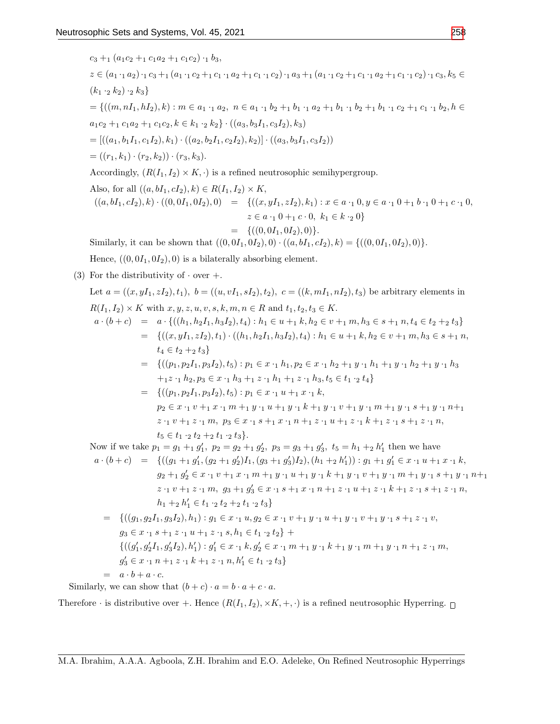$$
c_{3} +_{1} (a_{1}c_{2} +_{1}c_{1}c_{2}) + b_{3},
$$
\n
$$
z \in (a_{1} \cdot_{1}a_{2}) \cdot_{1}c_{3} +_{1} (a_{1} \cdot_{1}c_{2} +_{1}c_{1} \cdot_{1}a_{2} +_{1}c_{1} \cdot_{1}c_{2}) + a_{3} +_{1} (a_{1} \cdot_{1}c_{2} +_{1}c_{1} \cdot_{1}a_{2} +_{1}c_{1} \cdot_{1}a_{2} +_{1}c_{1} \cdot_{1}a_{2} +_{1}c_{1} \cdot_{1}a_{2} +_{1}c_{1} \cdot_{1}a_{2} +_{1}c_{1} \cdot_{1}a_{2} +_{1}c_{1} \cdot_{1}a_{2} +_{1}c_{1} \cdot_{1}a_{2} +_{1}c_{1} \cdot_{1}a_{2} +_{1}c_{1} \cdot_{1}a_{2} +_{1}c_{1} \cdot_{1}a_{2} +_{1}c_{1} \cdot_{1}a_{2} +_{1}c_{1} \cdot_{1}a_{2} +_{1}c_{1} \cdot_{1}a_{2} +_{1}c_{1} \cdot_{1}a_{2} +_{1}c_{1} \cdot_{1}a_{2} +_{1}c_{1} \cdot_{1}a_{2} +_{1}c_{1} \cdot_{1}a_{2} +_{1}c_{1} \cdot_{1}a_{2} +_{1}c_{1} \cdot_{1}a_{2} +_{1}c_{1} \cdot_{1}a_{2} +_{1}c_{1} \cdot_{1}a_{2} +_{1}c_{1} \cdot_{1}a_{2} +_{1}c_{1} \cdot_{1}a_{2} +_{1}c_{1} \cdot_{1}a_{2} +_{1}c_{1} \cdot_{1}a_{2} +_{1}c_{1} \cdot_{1}a_{2} +_{1}c_{1} \cdot_{1}a_{2} +_{1}c_{1} \cdot_{1}a_{2} +_{1}c_{1} \cdot_{1}a_{2} +_{1}c_{1} \cdot_{1}a_{2} +_{1}c_{1} \cdot_{1}a_{2} +_{1}c_{1} \cdot_{1}a_{2} +_{1}c_{1} \cdot_{1}a_{2} +_{1}c_{1} \cdot_{1}a_{2} +_{1}c_{1} \cdot_{1}a_{2} +_{
$$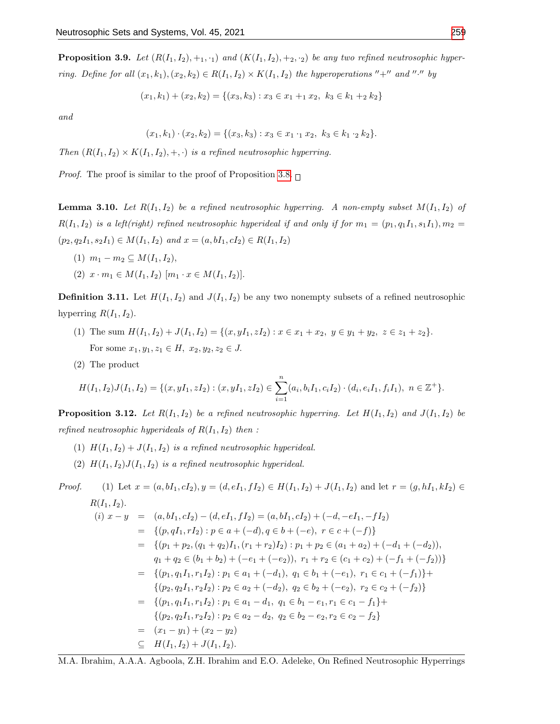**Proposition 3.9.** Let  $(R(I_1, I_2), +_1, \cdot_1)$  and  $(K(I_1, I_2), +_2, \cdot_2)$  be any two refined neutrosophic hyperring. Define for all  $(x_1, k_1), (x_2, k_2) \in R(I_1, I_2) \times K(I_1, I_2)$  the hyperoperations "+" and "." by

$$
(x_1, k_1) + (x_2, k_2) = \{(x_3, k_3) : x_3 \in x_1 + x_2, k_3 \in k_1 + k_2 \}
$$

and

$$
(x_1,k_1)\cdot(x_2,k_2)=\{(x_3,k_3):x_3\in x_1\cdot_1 x_2,\ k_3\in k_1\cdot_2 k_2\}.
$$

Then  $(R(I_1, I_2) \times K(I_1, I_2), +, \cdot)$  is a refined neutrosophic hyperring.

*Proof.* The proof is similar to the proof of Proposition [3](#page-7-0).8.  $\Box$ 

**Lemma 3.10.** Let  $R(I_1, I_2)$  be a refined neutrosophic hyperring. A non-empty subset  $M(I_1, I_2)$  of  $R(I_1, I_2)$  is a left(right) refined neutrosophic hyperideal if and only if for  $m_1 = (p_1, q_1I_1, s_1I_1), m_2 =$  $(p_2, q_2I_1, s_2I_1) \in M(I_1, I_2)$  and  $x = (a, bI_1, cI_2) \in R(I_1, I_2)$ 

- (1)  $m_1 m_2 \subseteq M(I_1, I_2),$
- (2)  $x \cdot m_1 \in M(I_1, I_2)$   $[m_1 \cdot x \in M(I_1, I_2)].$

**Definition 3.11.** Let  $H(I_1, I_2)$  and  $J(I_1, I_2)$  be any two nonempty subsets of a refined neutrosophic hyperring  $R(I_1, I_2)$ .

- (1) The sum  $H(I_1, I_2) + J(I_1, I_2) = \{(x, yI_1, zI_2) : x \in x_1 + x_2, y \in y_1 + y_2, z \in z_1 + z_2\}.$ For some  $x_1, y_1, z_1 \in H$ ,  $x_2, y_2, z_2 \in J$ .
- (2) The product

$$
H(I_1, I_2)J(I_1, I_2) = \{(x, yI_1, zI_2) : (x, yI_1, zI_2) \in \sum_{i=1}^n (a_i, b_iI_1, c_iI_2) \cdot (d_i, e_iI_1, f_iI_1), \ n \in \mathbb{Z}^+\}.
$$

**Proposition 3.12.** Let  $R(I_1, I_2)$  be a refined neutrosophic hyperring. Let  $H(I_1, I_2)$  and  $J(I_1, I_2)$  be refined neutrosophic hyperideals of  $R(I_1, I_2)$  then :

- (1)  $H(I_1, I_2) + J(I_1, I_2)$  is a refined neutrosophic hyperideal.
- (2)  $H(I_1, I_2)J(I_1, I_2)$  is a refined neutrosophic hyperideal.

Proof. (1) Let 
$$
x = (a, bI_1, cI_2), y = (d, eI_1, fI_2) \in H(I_1, I_2) + J(I_1, I_2)
$$
 and let  $r = (g, hI_1, kI_2) \in R(I_1, I_2)$ .  
\n(i)  $x - y = (a, bI_1, cI_2) - (d, eI_1, fI_2) = (a, bI_1, cI_2) + (-d, -eI_1, -fI_2)$   
\n $= \{(p, qI_1, rI_2) : p \in a + (-d), q \in b + (-e), r \in c + (-f)\}$   
\n $= \{(p_1 + p_2, (q_1 + q_2)I_1, (r_1 + r_2)I_2) : p_1 + p_2 \in (a_1 + a_2) + (-d_1 + (-d_2)),$   
\n $q_1 + q_2 \in (b_1 + b_2) + (-e_1 + (-e_2)), r_1 + r_2 \in (c_1 + c_2) + (-f_1 + (-f_2))\}$   
\n $= \{(p_1, q_1I_1, r_1I_2) : p_1 \in a_1 + (-d_1), q_1 \in b_1 + (-e_1), r_1 \in c_1 + (-f_1)\}$   
\n $= \{(p_2, q_2I_1, r_2I_2) : p_2 \in a_2 + (-d_2), q_2 \in b_2 + (-e_2), r_2 \in c_2 + (-f_2)\}$   
\n $= \{(p_1, q_1I_1, r_1I_2) : p_1 \in a_1 - d_1, q_1 \in b_1 - e_1, r_1 \in c_1 - f_1\}$   
\n $= \{(p_2, q_2I_1, r_2I_2) : p_2 \in a_2 - d_2, q_2 \in b_2 - e_2, r_2 \in c_2 - f_2\}$   
\n $= (x_1 - y_1) + (x_2 - y_2)$   
\n $= H(I_1, I_2) + J(I_1, I_2)$ .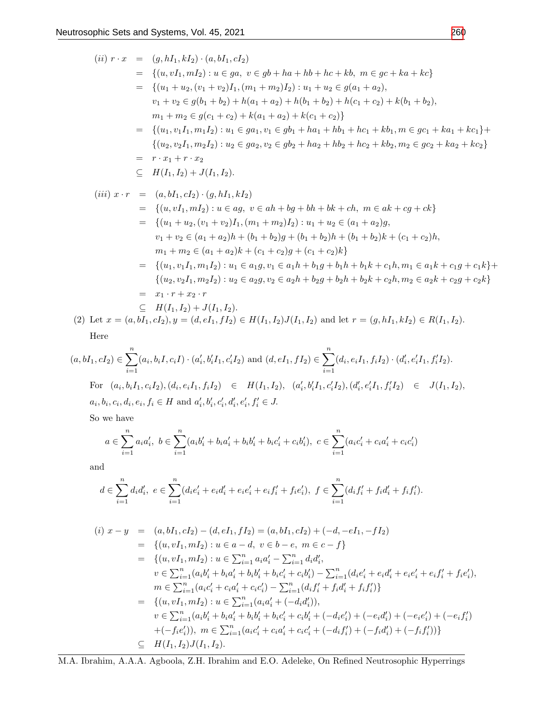$$
(ii) \ r \cdot x = (g, hI_1, kI_2) \cdot (a, bI_1, cI_2)
$$
  
\n
$$
= \{(u, vI_1, mI_2) : u \in ga, v \in gb + ha + hb + hc + kb, m \in gc + ka + kc\}
$$
  
\n
$$
= \{(u_1 + u_2, (v_1 + v_2)I_1, (m_1 + m_2)I_2) : u_1 + u_2 \in g(a_1 + a_2),
$$
  
\n
$$
v_1 + v_2 \in g(b_1 + b_2) + h(a_1 + a_2) + h(b_1 + b_2) + h(c_1 + c_2) + k(b_1 + b_2),
$$
  
\n
$$
= \{(u_1, v_1I_1, m_1I_2) : u_1 \in ga_1, v_1 \in gh_1 + ha_1 + hh_1 + hc_1 + kh_1, m \in gc_1 + ka_1 + kc_1\} +
$$
  
\n
$$
\{(u_2, v_2I_1, m_2I_2) : u_2 \in ga_2, v_2 \in gh_2 + ha_2 + hb_2 + kc_2 + kb_2, m_2 \in gc_2 + ka_2 + kc_2\}
$$
  
\n
$$
= r \cdot x_1 + r \cdot x_2
$$
  
\n
$$
\subseteq H(I_1, I_2) + J(I_1, I_2).
$$
  
\n
$$
(iii) \ x \cdot r = (a, bI_1, cI_2) \cdot (g, hI_1, kI_2)
$$
  
\n
$$
= \{(u, vI_1, mI_2) : u \in ag, v \in ah + bg + bh + bk + ch, m \in ak + cg + ck\}
$$
  
\n
$$
= \{(u_1 + u_2, (v_1 + v_2)I_1, (m_1 + m_2)I_2) : u_1 + u_2 \in (a_1 + a_2)g,
$$
  
\n
$$
v_1 + v_2 \in (a_1 + a_2)h + (b_1 + b_2)g + (b_1 + b_2)h + (b_1 + b_2)k + (c_1 + c_2)h,
$$
  
\n
$$
= \{(u_1, v_1I_1, m_1I_2) : u_1 \in ag, v_1 \in ah_1 + bg_1 + bh_1h_2
$$

$$
\operatorname{Here}
$$

$$
(a, bI_1, cI_2) \in \sum_{i=1}^n (a_i, b_iI, c_iI) \cdot (a'_i, b'_iI_1, c'_iI_2) \text{ and } (d, eI_1, fI_2) \in \sum_{i=1}^n (d_i, e_iI_1, f_iI_2) \cdot (d'_i, e'_iI_1, f'_iI_2).
$$
  
For  $(a_i, b_iI_1, c_iI_2), (d_i, e_iI_1, f_iI_2) \in H(I_1, I_2), (a'_i, b'_iI_1, c'_iI_2), (d'_i, e'_iI_1, f'_iI_2) \in J(I_1, I_2),$   
 $a_i, b_i, c_i, d_i, e_i, f_i \in H \text{ and } a'_i, b'_i, c'_i, d'_i, e'_i, f'_i \in J.$ 

So we have

$$
a \in \sum_{i=1}^{n} a_i a'_i, \ b \in \sum_{i=1}^{n} (a_i b'_i + b_i a'_i + b_i b'_i + b_i c'_i + c_i b'_i), \ c \in \sum_{i=1}^{n} (a_i c'_i + c_i a'_i + c_i c'_i)
$$

and

$$
d \in \sum_{i=1}^{n} d_i d_i', \ e \in \sum_{i=1}^{n} (d_i e_i' + e_i d_i' + e_i e_i' + e_i f_i' + f_i e_i'), \ f \in \sum_{i=1}^{n} (d_i f_i' + f_i d_i' + f_i f_i').
$$

$$
(i) \ x - y = (a, bI_1, cI_2) - (d, eI_1, fI_2) = (a, bI_1, cI_2) + (-d, -eI_1, -fI_2)
$$
  
\n
$$
= \{(u, vI_1, mI_2) : u \in a - d, v \in b - e, m \in c - f\}
$$
  
\n
$$
= \{(u, vI_1, mI_2) : u \in \sum_{i=1}^n a_i a'_i - \sum_{i=1}^n d_i d'_i,
$$
  
\n
$$
v \in \sum_{i=1}^n (a_i b'_i + b_i a'_i + b_i b'_i + b_i c'_i + c_i b'_i) - \sum_{i=1}^n (d_i e'_i + e_i d'_i + e_i e'_i + e_i f'_i + f_i e'_i),
$$
  
\n
$$
m \in \sum_{i=1}^n (a_i c'_i + c_i a'_i + c_i c'_i) - \sum_{i=1}^n (d_i f'_i + f_i d'_i + f_i f'_i)\}
$$
  
\n
$$
= \{(u, vI_1, mI_2) : u \in \sum_{i=1}^n (a_i a'_i + (-d_i d'_i)),
$$
  
\n
$$
v \in \sum_{i=1}^n (a_i b'_i + b_i a'_i + b_i b'_i + b_i c'_i + c_i b'_i + (-d_i e'_i) + (-e_i d'_i) + (-e_i e'_i) + (-e_i f'_i)
$$
  
\n
$$
+ (-f_i e'_i)), m \in \sum_{i=1}^n (a_i c'_i + c_i a'_i + c_i c'_i + (-d_i f'_i) + (-f_i d'_i) + (-f_i f'_i))\}
$$
  
\n
$$
\subseteq H(I_1, I_2) J(I_1, I_2).
$$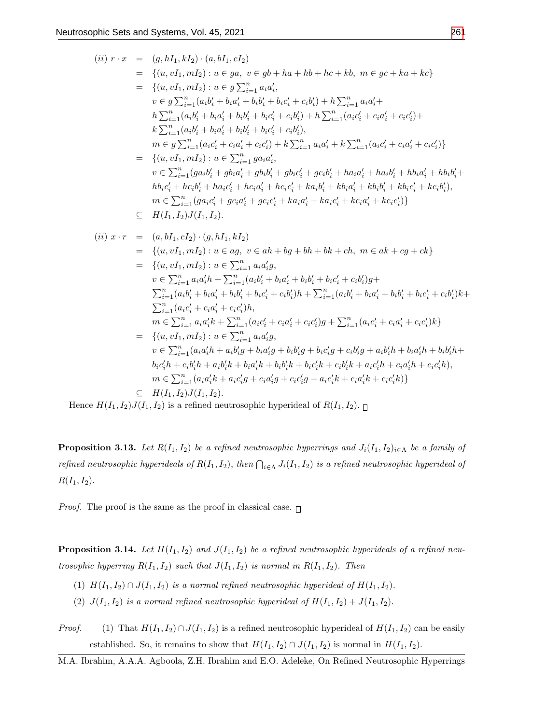$$
(ii) r \cdot x = (g, hI_1, kI_2) \cdot (a, bI_1, cI_2)
$$
  
\n
$$
= \{(u, vI_1, mI_2) : u \in ga, v \in gb + ha + hb + hc + kb, m \in gc + ka + kc\}
$$
  
\n
$$
= \{(u, vI_1, mI_2) : u \in g \sum_{i=1}^{n} a_i a'_i,
$$
  
\n
$$
v \in g \sum_{i=1}^{n} (a_i b'_i + b_i a'_i + b_i b'_i + b_i c'_i + c_i b'_i) + h \sum_{i=1}^{n} a_i a'_i + h \sum_{i=1}^{n} (a_i b'_i + b_i a'_i + b_i b'_i + b_i c'_i + c_i b'_i) + h \sum_{i=1}^{n} (a_i c'_i + c_i a'_i + c_i c'_i) + h \sum_{i=1}^{n} (a_i b'_i + b_i a'_i + b_i b'_i + b_i c'_i + c_i b'_i),
$$
  
\n
$$
= \{v \in g \sum_{i=1}^{n} (a_i b'_i + b_i a'_i + b_i b'_i + b_i c'_i + c_i b'_i),
$$
  
\n
$$
= \{(u, vI_1, mI_2) : u \in \sum_{i=1}^{n} ga_i a'_i,
$$
  
\n
$$
v \in \sum_{i=1}^{n} (ga_i b'_i + g b_i a'_i + g b_i b'_i + g b_i c'_i + g c_i b'_i + h a_i a'_i + h a_i b'_i + h b_i a'_i + h b_i b'_i + h b_i c'_i + h c_i b'_i + h a_i c'_i + h c_i a'_i + h c_i a'_i + h c_i a'_i + h c_i a'_i + k c_i b'_i),
$$
  
\n
$$
= \sum_{i=1}^{n} (ga_i b'_i + ga_i c'_i + g c_i a'_i + g c_i c'_i + ka_i a'_i + k a_i c'_i + k a_i b'_i + k b_i c'_i + k c_i b'_i),
$$
  
\n
$$
= \sum_{i=1}^{n} (a_i a'_i + g c_i a'_i + g c_i a'_i + g c_i a'_i + k a_i a'_i + k a_i c'_i + k c_i a'_i) \}
$$
  
\n
$$
= \{(u, vI_1, mI_
$$

Hence  $H(I_1, I_2)J(I_1, I_2)$  is a refined neutrosophic hyperideal of  $R(I_1, I_2)$ .

**Proposition 3.13.** Let  $R(I_1, I_2)$  be a refined neutrosophic hyperrings and  $J_i(I_1, I_2)_{i \in \Lambda}$  be a family of refined neutrosophic hyperideals of  $R(I_1,I_2)$ , then  $\bigcap_{i\in\Lambda}J_i(I_1,I_2)$  is a refined neutrosophic hyperideal of  $R(I_1, I_2)$ .

*Proof.* The proof is the same as the proof in classical case.  $\Box$ 

**Proposition 3.14.** Let  $H(I_1, I_2)$  and  $J(I_1, I_2)$  be a refined neutrosophic hyperideals of a refined neutrosophic hyperring  $R(I_1, I_2)$  such that  $J(I_1, I_2)$  is normal in  $R(I_1, I_2)$ . Then

- (1)  $H(I_1, I_2) \cap J(I_1, I_2)$  is a normal refined neutrosophic hyperideal of  $H(I_1, I_2)$ .
- (2)  $J(I_1, I_2)$  is a normal refined neutrosophic hyperideal of  $H(I_1, I_2) + J(I_1, I_2)$ .
- *Proof.* (1) That  $H(I_1, I_2) \cap J(I_1, I_2)$  is a refined neutrosophic hyperideal of  $H(I_1, I_2)$  can be easily established. So, it remains to show that  $H(I_1, I_2) \cap J(I_1, I_2)$  is normal in  $H(I_1, I_2)$ .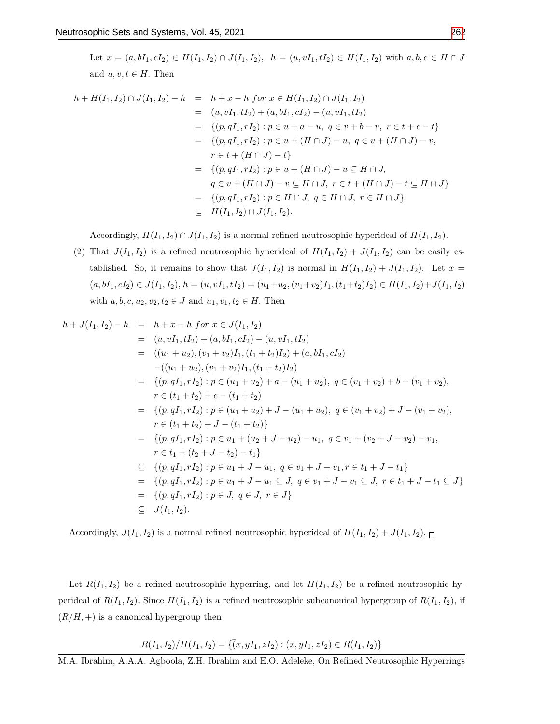Let  $x = (a, bI_1, cI_2) \in H(I_1, I_2) \cap J(I_1, I_2), h = (u, vI_1, tI_2) \in H(I_1, I_2)$  with  $a, b, c \in H \cap J$ and  $u, v, t \in H$ . Then

$$
h + H(I_1, I_2) \cap J(I_1, I_2) - h = h + x - h \text{ for } x \in H(I_1, I_2) \cap J(I_1, I_2)
$$
  
\n
$$
= (u, vI_1, tI_2) + (a, bI_1, cI_2) - (u, vI_1, tI_2)
$$
  
\n
$$
= \{(p, qI_1, rI_2) : p \in u + a - u, q \in v + b - v, r \in t + c - t\}
$$
  
\n
$$
= \{(p, qI_1, rI_2) : p \in u + (H \cap J) - u, q \in v + (H \cap J) - v,
$$
  
\n
$$
r \in t + (H \cap J) - t\}
$$
  
\n
$$
= \{(p, qI_1, rI_2) : p \in u + (H \cap J) - u \subseteq H \cap J,
$$
  
\n
$$
q \in v + (H \cap J) - v \subseteq H \cap J, r \in t + (H \cap J) - t \subseteq H \cap J\}
$$
  
\n
$$
= \{(p, qI_1, rI_2) : p \in H \cap J, q \in H \cap J, r \in H \cap J\}
$$
  
\n
$$
\subseteq H(I_1, I_2) \cap J(I_1, I_2).
$$

Accordingly,  $H(I_1, I_2) \cap J(I_1, I_2)$  is a normal refined neutrosophic hyperideal of  $H(I_1, I_2)$ .

(2) That  $J(I_1, I_2)$  is a refined neutrosophic hyperideal of  $H(I_1, I_2) + J(I_1, I_2)$  can be easily established. So, it remains to show that  $J(I_1, I_2)$  is normal in  $H(I_1, I_2) + J(I_1, I_2)$ . Let  $x =$  $(a, bI_1, cI_2) \in J(I_1, I_2), h = (u, vI_1, tI_2) = (u_1+u_2, (v_1+v_2)I_1, (t_1+t_2)I_2) \in H(I_1, I_2)+J(I_1, I_2)$ with  $a, b, c, u_2, v_2, t_2 \in J$  and  $u_1, v_1, t_2 \in H$ . Then

$$
h + J(I_1, I_2) - h = h + x - h \text{ for } x \in J(I_1, I_2)
$$
  
\n
$$
= (u, vI_1, tI_2) + (a, bI_1, cI_2) - (u, vI_1, tI_2)
$$
  
\n
$$
= ((u_1 + u_2), (v_1 + v_2)I_1, (t_1 + t_2)I_2) + (a, bI_1, cI_2)
$$
  
\n
$$
-((u_1 + u_2), (v_1 + v_2)I_1, (t_1 + t_2)I_2)
$$
  
\n
$$
= \{ (p, qI_1, rI_2) : p \in (u_1 + u_2) + a - (u_1 + u_2), q \in (v_1 + v_2) + b - (v_1 + v_2),
$$
  
\n
$$
r \in (t_1 + t_2) + c - (t_1 + t_2)
$$
  
\n
$$
= \{ (p, qI_1, rI_2) : p \in (u_1 + u_2) + J - (u_1 + u_2), q \in (v_1 + v_2) + J - (v_1 + v_2),
$$
  
\n
$$
r \in (t_1 + t_2) + J - (t_1 + t_2) \}
$$
  
\n
$$
= \{ (p, qI_1, rI_2) : p \in u_1 + (u_2 + J - u_2) - u_1, q \in v_1 + (v_2 + J - v_2) - v_1,
$$
  
\n
$$
r \in t_1 + (t_2 + J - t_2) - t_1 \}
$$
  
\n
$$
\subseteq \{ (p, qI_1, rI_2) : p \in u_1 + J - u_1, q \in v_1 + J - v_1, r \in t_1 + J - t_1 \}
$$
  
\n
$$
= \{ (p, qI_1, rI_2) : p \in u_1 + J - u_1 \subseteq J, q \in v_1 + J - v_1 \subseteq J, r \in t_1 + J - t_1 \subseteq J \}
$$
  
\n
$$
= \{ (p, qI_1, rI_2) : p \in J, q \in J, r \in J \}
$$
  
\n
$$
\subseteq J(I_1, I_2).
$$

Accordingly,  $J(I_1, I_2)$  is a normal refined neutrosophic hyperideal of  $H(I_1, I_2) + J(I_1, I_2)$ .

Let  $R(I_1, I_2)$  be a refined neutrosophic hyperring, and let  $H(I_1, I_2)$  be a refined neutrosophic hyperideal of  $R(I_1, I_2)$ . Since  $H(I_1, I_2)$  is a refined neutrosophic subcanonical hypergroup of  $R(I_1, I_2)$ , if  $(R/H, +)$  is a canonical hypergroup then

$$
R(I_1, I_2)/H(I_1, I_2) = \{ (x, yI_1, zI_2) : (x, yI_1, zI_2) \in R(I_1, I_2) \}
$$

M.A. Ibrahim, A.A.A. Agboola, Z.H. Ibrahim and E.O. Adeleke, On Refined Neutrosophic Hyperrings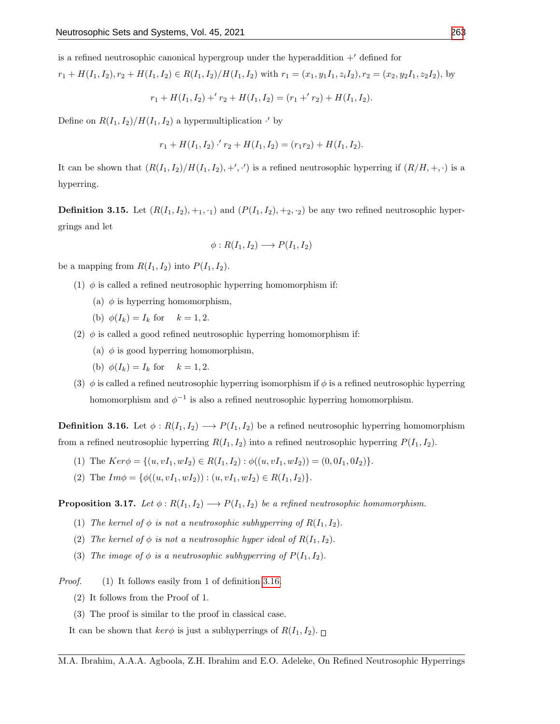is a refined neutrosophic canonical hypergroup under the hyperaddition  $+^{\prime}$  defined for

$$
r_1 + H(I_1, I_2), r_2 + H(I_1, I_2) \in R(I_1, I_2)/H(I_1, I_2)
$$
 with  $r_1 = (x_1, y_1I_1, z_iI_2), r_2 = (x_2, y_2I_1, z_2I_2)$ , by

$$
r_1 + H(I_1, I_2) + r_2 + H(I_1, I_2) = (r_1 + r_2) + H(I_1, I_2).
$$

Define on  $R(I_1, I_2)/H(I_1, I_2)$  a hypermultiplication  $\cdot'$  by

$$
r_1 + H(I_1, I_2) \cdot r_2 + H(I_1, I_2) = (r_1 r_2) + H(I_1, I_2).
$$

It can be shown that  $(R(I_1, I_2)/H(I_1, I_2), +', \cdot')$  is a refined neutrosophic hyperring if  $(R/H, +, \cdot)$  is a hyperring.

**Definition 3.15.** Let  $(R(I_1, I_2), +_1, \cdot_1)$  and  $(P(I_1, I_2), +_2, \cdot_2)$  be any two refined neutrosophic hypergrings and let

$$
\phi: R(I_1, I_2) \longrightarrow P(I_1, I_2)
$$

be a mapping from  $R(I_1, I_2)$  into  $P(I_1, I_2)$ .

- (1)  $\phi$  is called a refined neutrosophic hyperring homomorphism if:
	- (a)  $\phi$  is hyperring homomorphism,
	- (b)  $\phi(I_k) = I_k$  for  $k = 1, 2$ .
- (2)  $\phi$  is called a good refined neutrosophic hyperring homomorphism if:
	- (a)  $\phi$  is good hyperring homomorphism,
	- (b)  $\phi(I_k) = I_k$  for  $k = 1, 2$ .
- (3)  $\phi$  is called a refined neutrosophic hyperring isomorphism if  $\phi$  is a refined neutrosophic hyperring homomorphism and  $\phi^{-1}$  is also a refined neutrosophic hyperring homomorphism.

<span id="page-14-0"></span>**Definition 3.16.** Let  $\phi: R(I_1, I_2) \longrightarrow P(I_1, I_2)$  be a refined neutrosophic hyperring homomorphism from a refined neutrosophic hyperring  $R(I_1, I_2)$  into a refined neutrosophic hyperring  $P(I_1, I_2)$ .

- (1) The  $Ker\phi = \{(u, vI_1, wI_2) \in R(I_1, I_2) : \phi((u, vI_1, wI_2)) = (0, 0I_1, 0I_2)\}.$
- (2) The  $Im \phi = {\phi((u, vI_1, wI_2)) : (u, vI_1, wI_2) \in R(I_1, I_2)}$ .

**Proposition 3.17.** Let  $\phi: R(I_1, I_2) \longrightarrow P(I_1, I_2)$  be a refined neutrosophic homomorphism.

- (1) The kernel of  $\phi$  is not a neutrosophic subhyperring of  $R(I_1, I_2)$ .
- (2) The kernel of  $\phi$  is not a neutrosophic hyper ideal of  $R(I_1, I_2)$ .
- (3) The image of  $\phi$  is a neutrosophic subhyperring of  $P(I_1, I_2)$ .

Proof. (1) It follows easily from 1 of definition [3.16.](#page-14-0)

- (2) It follows from the Proof of 1.
- (3) The proof is similar to the proof in classical case.

It can be shown that  $\ker \phi$  is just a subhyperrings of  $R(I_1, I_2)$ .

M.A. Ibrahim, A.A.A. Agboola, Z.H. Ibrahim and E.O. Adeleke, On Refined Neutrosophic Hyperrings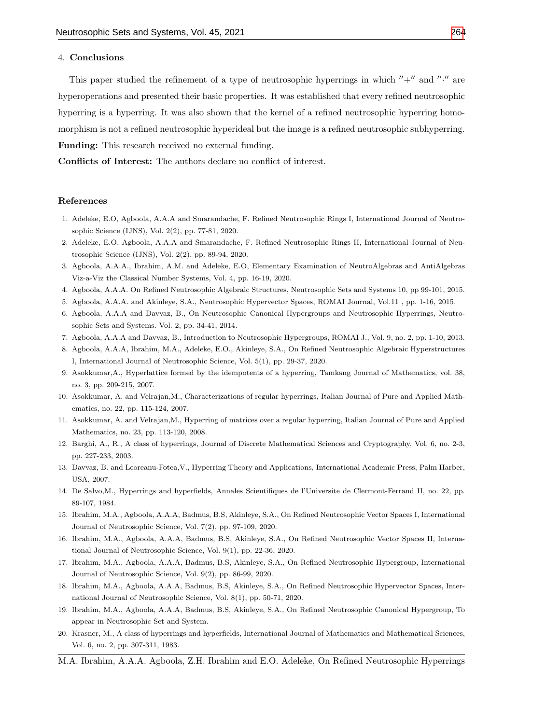#### 4. Conclusions

This paper studied the refinement of a type of neutrosophic hyperrings in which  $''+''$  and  $''·''$  are hyperoperations and presented their basic properties. It was established that every refined neutrosophic hyperring is a hyperring. It was also shown that the kernel of a refined neutrosophic hyperring homomorphism is not a refined neutrosophic hyperideal but the image is a refined neutrosophic subhyperring. Funding: This research received no external funding.

Conflicts of Interest: The authors declare no conflict of interest.

#### References

- <span id="page-15-6"></span>1. Adeleke, E.O, Agboola, A.A.A and Smarandache, F. Refined Neutrosophic Rings I, International Journal of Neutrosophic Science (IJNS), Vol. 2(2), pp. 77-81, 2020.
- <span id="page-15-7"></span>2. Adeleke, E.O, Agboola, A.A.A and Smarandache, F. Refined Neutrosophic Rings II, International Journal of Neutrosophic Science (IJNS), Vol. 2(2), pp. 89-94, 2020.
- 3. Agboola, A.A.A., Ibrahim, A.M. and Adeleke, E.O, Elementary Examination of NeutroAlgebras and AntiAlgebras Viz-a-Viz the Classical Number Systems, Vol. 4, pp. 16-19, 2020.
- <span id="page-15-12"></span>4. Agboola, A.A.A. On Refined Neutrosophic Algebraic Structures, Neutrosophic Sets and Systems 10, pp 99-101, 2015.
- <span id="page-15-5"></span>5. Agboola, A.A.A. and Akinleye, S.A., Neutrosophic Hypervector Spaces, ROMAI Journal, Vol.11 , pp. 1-16, 2015.
- <span id="page-15-13"></span>6. Agboola, A.A.A and Davvaz, B., On Neutrosophic Canonical Hypergroups and Neutrosophic Hyperrings, Neutrosophic Sets and Systems. Vol. 2, pp. 34-41, 2014.
- 7. Agboola, A.A.A and Davvaz, B., Introduction to Neutrosophic Hypergroups, ROMAI J., Vol. 9, no. 2, pp. 1-10, 2013.
- <span id="page-15-8"></span>8. Agboola, A.A.A, Ibrahim, M.A., Adeleke, E.O., Akinleye, S.A., On Refined Neutrosophic Algebraic Hyperstructures I, International Journal of Neutrosophic Science, Vol. 5(1), pp. 29-37, 2020.
- <span id="page-15-3"></span>9. Asokkumar,A., Hyperlattice formed by the idempotents of a hyperring, Tamkang Journal of Mathematics, vol. 38, no. 3, pp. 209-215, 2007.
- 10. Asokkumar, A. and Velrajan,M., Characterizations of regular hyperrings, Italian Journal of Pure and Applied Mathematics, no. 22, pp. 115-124, 2007.
- <span id="page-15-4"></span>11. Asokkumar, A. and Velrajan,M., Hyperring of matrices over a regular hyperring, Italian Journal of Pure and Applied Mathematics, no. 23, pp. 113-120, 2008.
- <span id="page-15-2"></span>12. Barghi, A., R., A class of hyperrings, Journal of Discrete Mathematical Sciences and Cryptography, Vol. 6, no. 2-3, pp. 227-233, 2003.
- <span id="page-15-11"></span>13. Davvaz, B. and Leoreanu-Fotea,V., Hyperring Theory and Applications, International Academic Press, Palm Harber, USA, 2007.
- <span id="page-15-1"></span>14. De Salvo,M., Hyperrings and hyperfields, Annales Scientifiques de l'Universite de Clermont-Ferrand II, no. 22, pp. 89-107, 1984.
- <span id="page-15-9"></span>15. Ibrahim, M.A., Agboola, A.A.A, Badmus, B.S, Akinleye, S.A., On Refined Neutrosophic Vector Spaces I, International Journal of Neutrosophic Science, Vol. 7(2), pp. 97-109, 2020.
- 16. Ibrahim, M.A., Agboola, A.A.A, Badmus, B.S, Akinleye, S.A., On Refined Neutrosophic Vector Spaces II, International Journal of Neutrosophic Science, Vol. 9(1), pp. 22-36, 2020.
- 17. Ibrahim, M.A., Agboola, A.A.A, Badmus, B.S, Akinleye, S.A., On Refined Neutrosophic Hypergroup, International Journal of Neutrosophic Science, Vol. 9(2), pp. 86-99, 2020.
- 18. Ibrahim, M.A., Agboola, A.A.A, Badmus, B.S, Akinleye, S.A., On Refined Neutrosophic Hypervector Spaces, International Journal of Neutrosophic Science, Vol. 8(1), pp. 50-71, 2020.
- <span id="page-15-10"></span>19. Ibrahim, M.A., Agboola, A.A.A, Badmus, B.S, Akinleye, S.A., On Refined Neutrosophic Canonical Hypergroup, To appear in Neutrosophic Set and System.
- <span id="page-15-0"></span>20. Krasner, M., A class of hyperrings and hyperfields, International Journal of Mathematics and Mathematical Sciences, Vol. 6, no. 2, pp. 307-311, 1983.